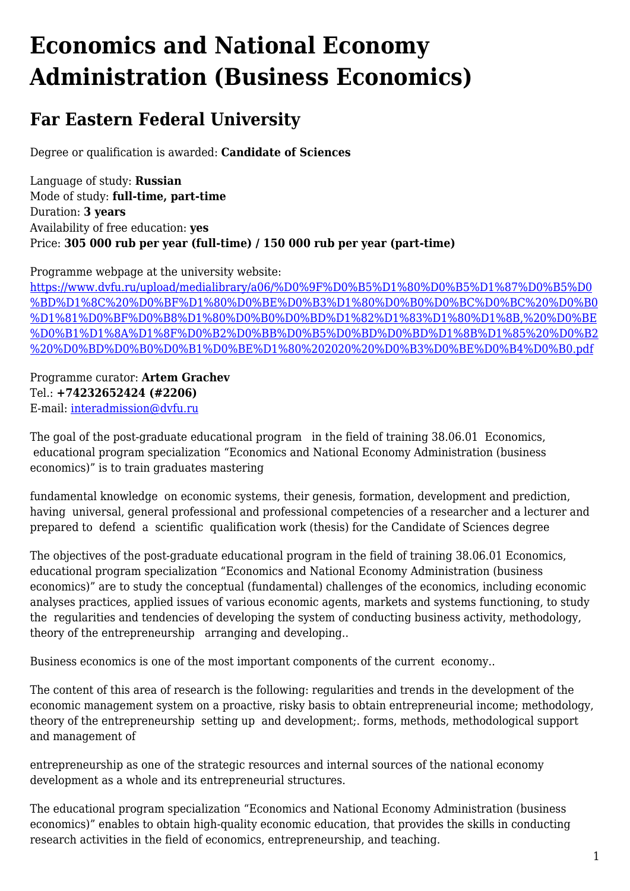## **Economics and National Economy Administration (Business Economics)**

## **Far Eastern Federal University**

Degree or qualification is awarded: **Candidate of Sciences**

Language of study: **Russian** Mode of study: **full-time, part-time** Duration: **3 years** Availability of free education: **yes** Price: **305 000 rub per year (full-time) / 150 000 rub per year (part-time)**

Programme webpage at the university website:

[https://www.dvfu.ru/upload/medialibrary/a06/%D0%9F%D0%B5%D1%80%D0%B5%D1%87%D0%B5%D0](https://www.dvfu.ru/upload/medialibrary/a06/%D0%9F%D0%B5%D1%80%D0%B5%D1%87%D0%B5%D0%BD%D1%8C%20%D0%BF%D1%80%D0%BE%D0%B3%D1%80%D0%B0%D0%BC%D0%BC%20%D0%B0%D1%81%D0%BF%D0%B8%D1%80%D0%B0%D0%BD%D1%82%D1%83%D1%80%D1%8B,%20%D0%BE%D0%B1%D1%8A%D1%8F%D0%B2%D0%BB%D0%B5%D0%BD%D0%BD%D1%8B%D1%85%20%D0%B2%20%D0%BD%D0%B0%D0%B1%D0%BE%D1%80%202020%20%D0%B3%D0%BE%D0%B4%D0%B0.pdf) [%BD%D1%8C%20%D0%BF%D1%80%D0%BE%D0%B3%D1%80%D0%B0%D0%BC%D0%BC%20%D0%B0](https://www.dvfu.ru/upload/medialibrary/a06/%D0%9F%D0%B5%D1%80%D0%B5%D1%87%D0%B5%D0%BD%D1%8C%20%D0%BF%D1%80%D0%BE%D0%B3%D1%80%D0%B0%D0%BC%D0%BC%20%D0%B0%D1%81%D0%BF%D0%B8%D1%80%D0%B0%D0%BD%D1%82%D1%83%D1%80%D1%8B,%20%D0%BE%D0%B1%D1%8A%D1%8F%D0%B2%D0%BB%D0%B5%D0%BD%D0%BD%D1%8B%D1%85%20%D0%B2%20%D0%BD%D0%B0%D0%B1%D0%BE%D1%80%202020%20%D0%B3%D0%BE%D0%B4%D0%B0.pdf) [%D1%81%D0%BF%D0%B8%D1%80%D0%B0%D0%BD%D1%82%D1%83%D1%80%D1%8B,%20%D0%BE](https://www.dvfu.ru/upload/medialibrary/a06/%D0%9F%D0%B5%D1%80%D0%B5%D1%87%D0%B5%D0%BD%D1%8C%20%D0%BF%D1%80%D0%BE%D0%B3%D1%80%D0%B0%D0%BC%D0%BC%20%D0%B0%D1%81%D0%BF%D0%B8%D1%80%D0%B0%D0%BD%D1%82%D1%83%D1%80%D1%8B,%20%D0%BE%D0%B1%D1%8A%D1%8F%D0%B2%D0%BB%D0%B5%D0%BD%D0%BD%D1%8B%D1%85%20%D0%B2%20%D0%BD%D0%B0%D0%B1%D0%BE%D1%80%202020%20%D0%B3%D0%BE%D0%B4%D0%B0.pdf) [%D0%B1%D1%8A%D1%8F%D0%B2%D0%BB%D0%B5%D0%BD%D0%BD%D1%8B%D1%85%20%D0%B2](https://www.dvfu.ru/upload/medialibrary/a06/%D0%9F%D0%B5%D1%80%D0%B5%D1%87%D0%B5%D0%BD%D1%8C%20%D0%BF%D1%80%D0%BE%D0%B3%D1%80%D0%B0%D0%BC%D0%BC%20%D0%B0%D1%81%D0%BF%D0%B8%D1%80%D0%B0%D0%BD%D1%82%D1%83%D1%80%D1%8B,%20%D0%BE%D0%B1%D1%8A%D1%8F%D0%B2%D0%BB%D0%B5%D0%BD%D0%BD%D1%8B%D1%85%20%D0%B2%20%D0%BD%D0%B0%D0%B1%D0%BE%D1%80%202020%20%D0%B3%D0%BE%D0%B4%D0%B0.pdf) [%20%D0%BD%D0%B0%D0%B1%D0%BE%D1%80%202020%20%D0%B3%D0%BE%D0%B4%D0%B0.pdf](https://www.dvfu.ru/upload/medialibrary/a06/%D0%9F%D0%B5%D1%80%D0%B5%D1%87%D0%B5%D0%BD%D1%8C%20%D0%BF%D1%80%D0%BE%D0%B3%D1%80%D0%B0%D0%BC%D0%BC%20%D0%B0%D1%81%D0%BF%D0%B8%D1%80%D0%B0%D0%BD%D1%82%D1%83%D1%80%D1%8B,%20%D0%BE%D0%B1%D1%8A%D1%8F%D0%B2%D0%BB%D0%B5%D0%BD%D0%BD%D1%8B%D1%85%20%D0%B2%20%D0%BD%D0%B0%D0%B1%D0%BE%D1%80%202020%20%D0%B3%D0%BE%D0%B4%D0%B0.pdf)

Programme curator: **Artem Grachev** Tel.: **+74232652424 (#2206)** E-mail: [interadmission@dvfu.ru](mailto:interadmission@dvfu.ru)

The goal of the post-graduate educational program in the field of training 38.06.01 Economics, educational program specialization "Economics and National Economy Administration (business economics)" is to train graduates mastering

fundamental knowledge on economic systems, their genesis, formation, development and prediction, having universal, general professional and professional competencies of a researcher and a lecturer and prepared to defend a scientific qualification work (thesis) for the Candidate of Sciences degree

The objectives of the post-graduate educational program in the field of training 38.06.01 Economics, educational program specialization "Economics and National Economy Administration (business economics)" are to study the conceptual (fundamental) challenges of the economics, including economic analyses practices, applied issues of various economic agents, markets and systems functioning, to study the regularities and tendencies of developing the system of conducting business activity, methodology, theory of the entrepreneurship arranging and developing..

Business economics is one of the most important components of the current economy..

The content of this area of research is the following: regularities and trends in the development of the economic management system on a proactive, risky basis to obtain entrepreneurial income; methodology, theory of the entrepreneurship setting up and development;. forms, methods, methodological support and management of

entrepreneurship as one of the strategic resources and internal sources of the national economy development as a whole and its entrepreneurial structures.

The educational program specialization "Economics and National Economy Administration (business economics)" enables to obtain high-quality economic education, that provides the skills in conducting research activities in the field of economics, entrepreneurship, and teaching.